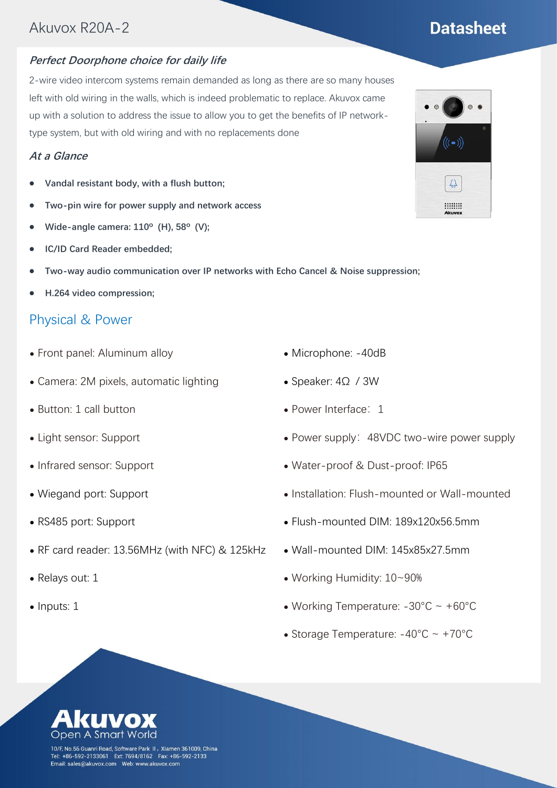## Akuvox R20A-2

#### **Perfect Doorphone choice for daily life**

2-wire video intercom systems remain demanded as long as there are so many houses left with old wiring in the walls, which is indeed problematic to replace. Akuvox came up with a solution to address the issue to allow you to get the benefits of IP networktype system, but with old wiring and with no replacements done

#### **At a Glance**

- ⚫ **Vandal resistant body, with a flush button;**
- ⚫ **Two-pin wire for power supply and network access**
- ⚫ **Wide-angle camera: 110º (H), 58º (V);**
- ⚫ **IC/ID Card Reader embedded;**
- ⚫ **Two-way audio communication over IP networks with Echo Cancel & Noise suppression;**
- ⚫ **H.264 video compression;**

### Physical & Power

- ⚫ Front panel: Aluminum alloy
- ⚫ Camera: 2M pixels, automatic lighting
- ⚫ Button: 1 call button
- ⚫ Light sensor: Support
- ⚫ Infrared sensor: Support
- ⚫ Wiegand port: Support
- ⚫ RS485 port: Support
- ⚫ RF card reader: 13.56MHz (with NFC) & 125kHz
- ⚫ Relays out: 1
- Inputs: 1
- ⚫ Microphone: -40dB
- ⚫ Speaker: 4Ω / 3W
- Power Interface: 1
- Power supply: 48VDC two-wire power supply
- ⚫ Water-proof & Dust-proof: IP65
- ⚫ Installation: Flush-mounted or Wall-mounted
- ⚫ Flush-mounted DIM: 189x120x56.5mm
- ⚫ Wall-mounted DIM: 145x85x27.5mm
- ⚫ Working Humidity: 10~90%
- Working Temperature:  $-30^{\circ}$ C ~  $+60^{\circ}$ C
- Storage Temperature:  $-40^{\circ}$ C ~  $+70^{\circ}$ C





## **Datasheet**